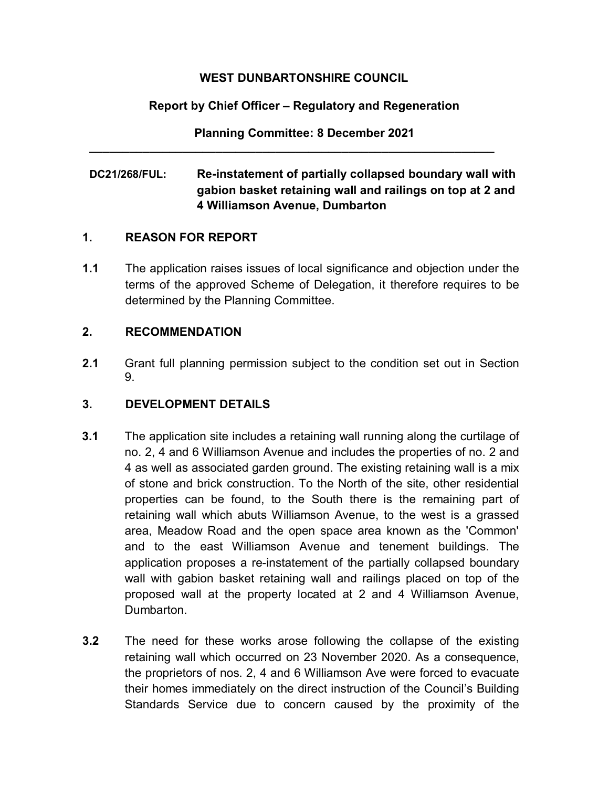# **WEST DUNBARTONSHIRE COUNCIL**

# **Report by Chief Officer – Regulatory and Regeneration**

**Planning Committee: 8 December 2021**

**\_\_\_\_\_\_\_\_\_\_\_\_\_\_\_\_\_\_\_\_\_\_\_\_\_\_\_\_\_\_\_\_\_\_\_\_\_\_\_\_\_\_\_\_\_\_\_\_\_\_\_\_\_\_\_\_\_\_\_\_\_**

# **DC21/268/FUL: Re-instatement of partially collapsed boundary wall with gabion basket retaining wall and railings on top at 2 and 4 Williamson Avenue, Dumbarton**

### **1. REASON FOR REPORT**

**1.1** The application raises issues of local significance and objection under the terms of the approved Scheme of Delegation, it therefore requires to be determined by the Planning Committee.

### **2. RECOMMENDATION**

**2.1** Grant full planning permission subject to the condition set out in Section 9.

# **3. DEVELOPMENT DETAILS**

- **3.1** The application site includes a retaining wall running along the curtilage of no. 2, 4 and 6 Williamson Avenue and includes the properties of no. 2 and 4 as well as associated garden ground. The existing retaining wall is a mix of stone and brick construction. To the North of the site, other residential properties can be found, to the South there is the remaining part of retaining wall which abuts Williamson Avenue, to the west is a grassed area, Meadow Road and the open space area known as the 'Common' and to the east Williamson Avenue and tenement buildings. The application proposes a re-instatement of the partially collapsed boundary wall with gabion basket retaining wall and railings placed on top of the proposed wall at the property located at 2 and 4 Williamson Avenue, Dumbarton.
- **3.2** The need for these works arose following the collapse of the existing retaining wall which occurred on 23 November 2020. As a consequence, the proprietors of nos. 2, 4 and 6 Williamson Ave were forced to evacuate their homes immediately on the direct instruction of the Council's Building Standards Service due to concern caused by the proximity of the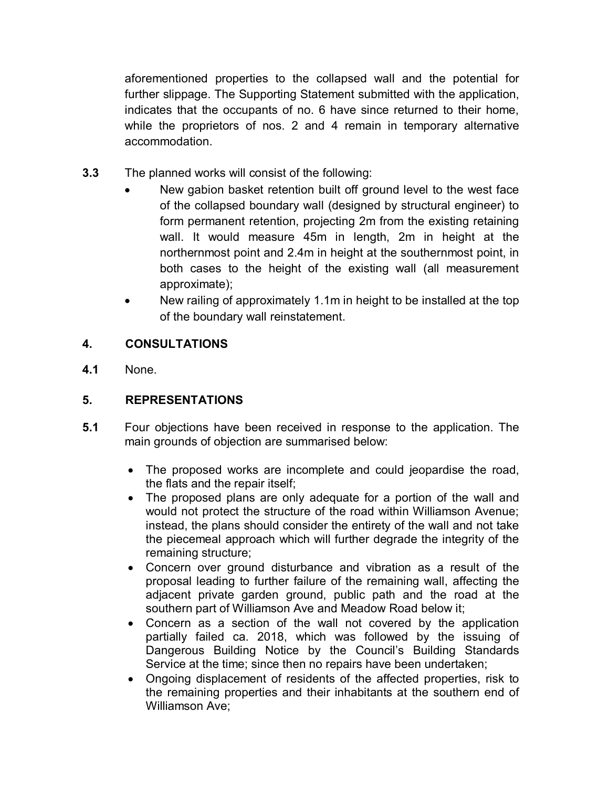aforementioned properties to the collapsed wall and the potential for further slippage. The Supporting Statement submitted with the application, indicates that the occupants of no. 6 have since returned to their home, while the proprietors of nos. 2 and 4 remain in temporary alternative accommodation.

- **3.3** The planned works will consist of the following:
	- New gabion basket retention built off ground level to the west face of the collapsed boundary wall (designed by structural engineer) to form permanent retention, projecting 2m from the existing retaining wall. It would measure 45m in length, 2m in height at the northernmost point and 2.4m in height at the southernmost point, in both cases to the height of the existing wall (all measurement approximate);
	- New railing of approximately 1.1m in height to be installed at the top of the boundary wall reinstatement.

# **4. CONSULTATIONS**

**4.1** None.

# **5. REPRESENTATIONS**

- **5.1** Four objections have been received in response to the application. The main grounds of objection are summarised below:
	- The proposed works are incomplete and could jeopardise the road, the flats and the repair itself;
	- The proposed plans are only adequate for a portion of the wall and would not protect the structure of the road within Williamson Avenue; instead, the plans should consider the entirety of the wall and not take the piecemeal approach which will further degrade the integrity of the remaining structure;
	- Concern over ground disturbance and vibration as a result of the proposal leading to further failure of the remaining wall, affecting the adjacent private garden ground, public path and the road at the southern part of Williamson Ave and Meadow Road below it;
	- Concern as a section of the wall not covered by the application partially failed ca. 2018, which was followed by the issuing of Dangerous Building Notice by the Council's Building Standards Service at the time; since then no repairs have been undertaken;
	- Ongoing displacement of residents of the affected properties, risk to the remaining properties and their inhabitants at the southern end of Williamson Ave;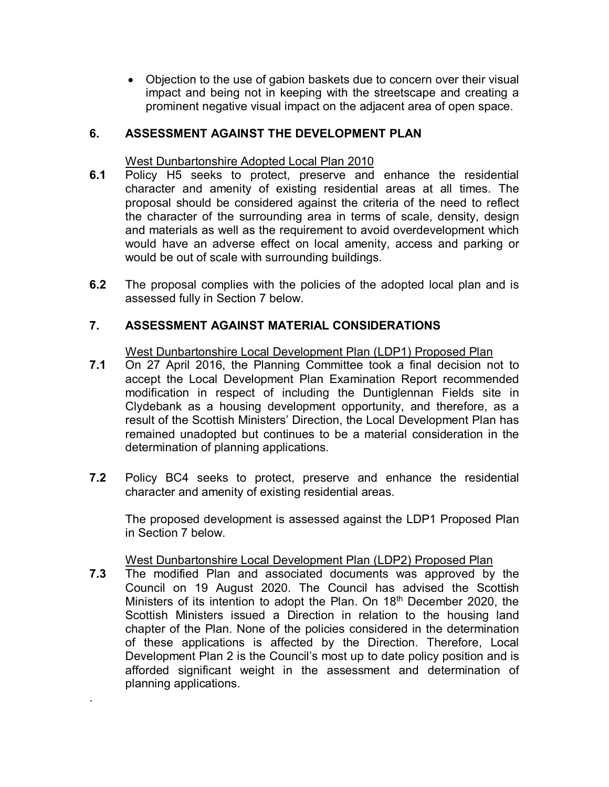• Objection to the use of gabion baskets due to concern over their visual impact and being not in keeping with the streetscape and creating a prominent negative visual impact on the adjacent area of open space.

## **6. ASSESSMENT AGAINST THE DEVELOPMENT PLAN**

#### West Dunbartonshire Adopted Local Plan 2010

- **6.1** Policy H5 seeks to protect, preserve and enhance the residential character and amenity of existing residential areas at all times. The proposal should be considered against the criteria of the need to reflect the character of the surrounding area in terms of scale, density, design and materials as well as the requirement to avoid overdevelopment which would have an adverse effect on local amenity, access and parking or would be out of scale with surrounding buildings.
- **6.2** The proposal complies with the policies of the adopted local plan and is assessed fully in Section 7 below.

### **7. ASSESSMENT AGAINST MATERIAL CONSIDERATIONS**

West Dunbartonshire Local Development Plan (LDP1) Proposed Plan

- **7.1** On 27 April 2016, the Planning Committee took a final decision not to accept the Local Development Plan Examination Report recommended modification in respect of including the Duntiglennan Fields site in Clydebank as a housing development opportunity, and therefore, as a result of the Scottish Ministers' Direction, the Local Development Plan has remained unadopted but continues to be a material consideration in the determination of planning applications.
- **7.2**Policy BC4 seeks to protect, preserve and enhance the residential character and amenity of existing residential areas.

The proposed development is assessed against the LDP1 Proposed Plan in Section 7 below.

### West Dunbartonshire Local Development Plan (LDP2) Proposed Plan

**7.3** The modified Plan and associated documents was approved by the Council on 19 August 2020. The Council has advised the Scottish Ministers of its intention to adopt the Plan. On 18<sup>th</sup> December 2020, the Scottish Ministers issued a Direction in relation to the housing land chapter of the Plan. None of the policies considered in the determination of these applications is affected by the Direction. Therefore, Local Development Plan 2 is the Council's most up to date policy position and is afforded significant weight in the assessment and determination of planning applications.

.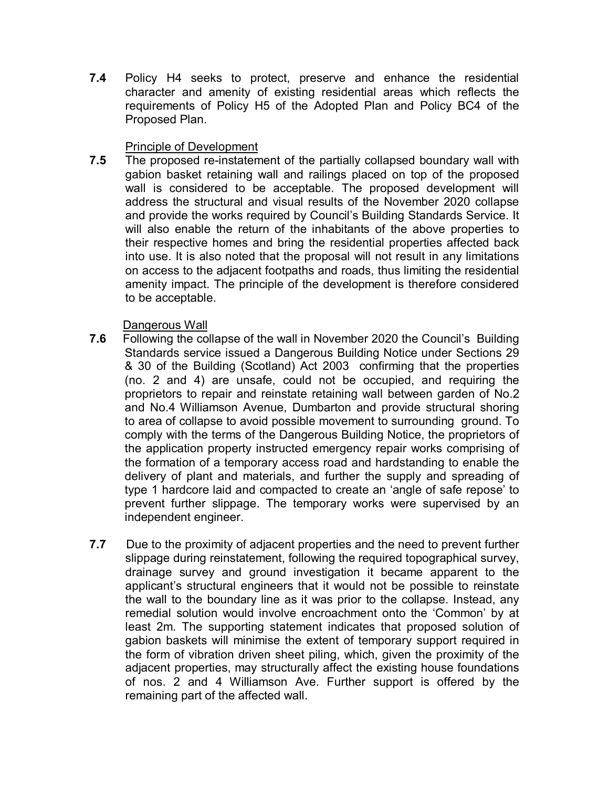**7.4** Policy H4 seeks to protect, preserve and enhance the residential character and amenity of existing residential areas which reflects the requirements of Policy H5 of the Adopted Plan and Policy BC4 of the Proposed Plan.

# Principle of Development

**7.5** The proposed re-instatement of the partially collapsed boundary wall with gabion basket retaining wall and railings placed on top of the proposed wall is considered to be acceptable. The proposed development will address the structural and visual results of the November 2020 collapse and provide the works required by Council's Building Standards Service. It will also enable the return of the inhabitants of the above properties to their respective homes and bring the residential properties affected back into use. It is also noted that the proposal will not result in any limitations on access to the adjacent footpaths and roads, thus limiting the residential amenity impact. The principle of the development is therefore considered to be acceptable.

### Dangerous Wall

- **7.6** Following the collapse of the wall in November 2020 the Council's Building Standards service issued a Dangerous Building Notice under Sections 29 & 30 of the Building (Scotland) Act 2003 confirming that the properties (no. 2 and 4) are unsafe, could not be occupied, and requiring the proprietors to repair and reinstate retaining wall between garden of No.2 and No.4 Williamson Avenue, Dumbarton and provide structural shoring to area of collapse to avoid possible movement to surrounding ground. To comply with the terms of the Dangerous Building Notice, the proprietors of the application property instructed emergency repair works comprising of the formation of a temporary access road and hardstanding to enable the delivery of plant and materials, and further the supply and spreading of type 1 hardcore laid and compacted to create an 'angle of safe repose' to prevent further slippage. The temporary works were supervised by an independent engineer.
- **7.7** Due to the proximity of adjacent properties and the need to prevent further slippage during reinstatement, following the required topographical survey, drainage survey and ground investigation it became apparent to the applicant's structural engineers that it would not be possible to reinstate the wall to the boundary line as it was prior to the collapse. Instead, any remedial solution would involve encroachment onto the 'Common' by at least 2m. The supporting statement indicates that proposed solution of gabion baskets will minimise the extent of temporary support required in the form of vibration driven sheet piling, which, given the proximity of the adjacent properties, may structurally affect the existing house foundations of nos. 2 and 4 Williamson Ave. Further support is offered by the remaining part of the affected wall.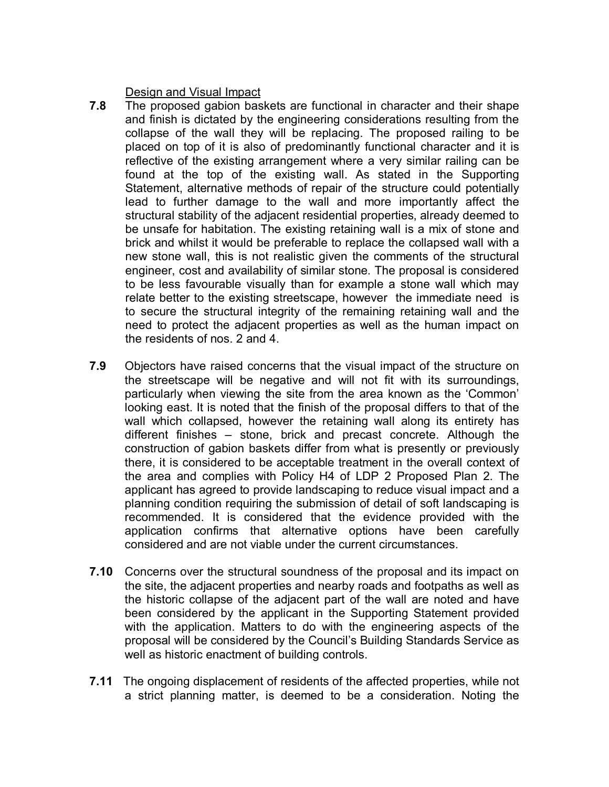Design and Visual Impact

- **7.8** The proposed gabion baskets are functional in character and their shape and finish is dictated by the engineering considerations resulting from the collapse of the wall they will be replacing. The proposed railing to be placed on top of it is also of predominantly functional character and it is reflective of the existing arrangement where a very similar railing can be found at the top of the existing wall. As stated in the Supporting Statement, alternative methods of repair of the structure could potentially lead to further damage to the wall and more importantly affect the structural stability of the adjacent residential properties, already deemed to be unsafe for habitation. The existing retaining wall is a mix of stone and brick and whilst it would be preferable to replace the collapsed wall with a new stone wall, this is not realistic given the comments of the structural engineer, cost and availability of similar stone. The proposal is considered to be less favourable visually than for example a stone wall which may relate better to the existing streetscape, however the immediate need is to secure the structural integrity of the remaining retaining wall and the need to protect the adjacent properties as well as the human impact on the residents of nos. 2 and 4.
- **7.9** Objectors have raised concerns that the visual impact of the structure on the streetscape will be negative and will not fit with its surroundings, particularly when viewing the site from the area known as the 'Common' looking east. It is noted that the finish of the proposal differs to that of the wall which collapsed, however the retaining wall along its entirety has different finishes – stone, brick and precast concrete. Although the construction of gabion baskets differ from what is presently or previously there, it is considered to be acceptable treatment in the overall context of the area and complies with Policy H4 of LDP 2 Proposed Plan 2. The applicant has agreed to provide landscaping to reduce visual impact and a planning condition requiring the submission of detail of soft landscaping is recommended. It is considered that the evidence provided with the application confirms that alternative options have been carefully considered and are not viable under the current circumstances.
- **7.10** Concerns over the structural soundness of the proposal and its impact on the site, the adjacent properties and nearby roads and footpaths as well as the historic collapse of the adjacent part of the wall are noted and have been considered by the applicant in the Supporting Statement provided with the application. Matters to do with the engineering aspects of the proposal will be considered by the Council's Building Standards Service as well as historic enactment of building controls.
- **7.11** The ongoing displacement of residents of the affected properties, while not a strict planning matter, is deemed to be a consideration. Noting the